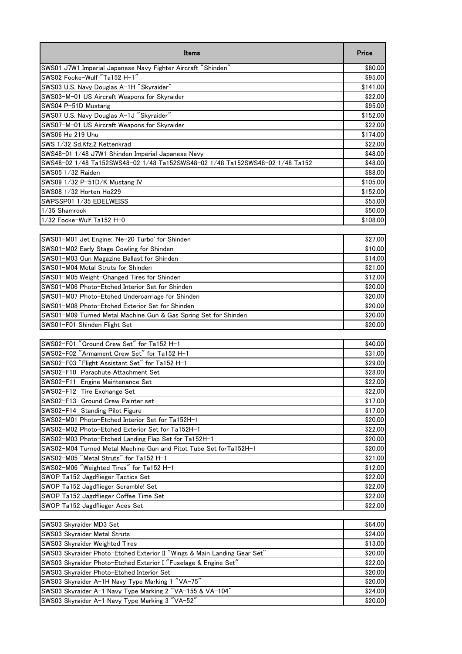| Items                                                                        | Price    |
|------------------------------------------------------------------------------|----------|
| SWS01 J7W1 Imperial Japanese Navy Fighter Aircraft "Shinden"                 | \$80.00  |
| SWS02 Focke-Wulf "Ta152 H-1"                                                 | \$95.00  |
| SWS03 U.S. Navy Douglas A-1H "Skyraider"                                     | \$141.00 |
| SWS03-M-01 US Aircraft Weapons for Skyraider                                 | \$22.00  |
| SWS04 P-51D Mustang                                                          | \$95.00  |
| SWS07 U.S. Navy Douglas A-1J "Skyraider"                                     | \$152.00 |
| SWS07-M-01 US Aircraft Weapons for Skyraider                                 | \$22.00  |
| SWS06 He 219 Uhu                                                             | \$174.00 |
| SWS 1/32 Sd.Kfz.2 Kettenkrad                                                 | \$22.00  |
| SWS48-01 1/48 J7W1 Shinden Imperial Japanese Navy                            | \$48.00  |
| SWS48-02 1/48 Ta152SWS48-02 1/48 Ta152SWS48-02 1/48 Ta152SWS48-02 1/48 Ta152 | \$48.00  |
| SWS05 1/32 Raiden                                                            | \$88.00  |
| SWS09 1/32 P-51D/K Mustang IV                                                | \$105.00 |
| SWS08 1/32 Horten Ho229                                                      | \$152.00 |
| SWPSSP01 1/35 EDELWEISS                                                      | \$55.00  |
| 1/35 Shamrock                                                                | \$50.00  |
| 1/32 Focke-Wulf Ta152 H-0                                                    | \$108.00 |
|                                                                              |          |
| SWS01-M01 Jet Engine: 'Ne-20 Turbo' for Shinden                              | \$27.00  |
| SWS01-M02 Early Stage Cowling for Shinden                                    | \$10.00  |
| SWS01-M03 Gun Magazine Ballast for Shinden                                   | \$14.00  |
| SWS01-M04 Metal Struts for Shinden                                           | \$21.00  |
| SWS01-M05 Weight-Changed Tires for Shinden                                   | \$12.00  |
| SWS01-M06 Photo-Etched Interior Set for Shinden                              | \$20.00  |
| SWS01-M07 Photo-Etched Undercarriage for Shinden                             | \$20.00  |
| SWS01-M08 Photo-Etched Exterior Set for Shinden                              | \$20.00  |
| SWS01-M09 Turned Metal Machine Gun & Gas Spring Set for Shinden              | \$20.00  |
| SWS01-F01 Shinden Flight Set                                                 | \$20.00  |
|                                                                              |          |
| SWS02-F01 "Ground Crew Set" for Ta152 H-1                                    | \$40.00  |
| SWS02-F02 "Armament Crew Set" for Ta152 H-1                                  | \$31.00  |
| SWS02-F03 "Flight Assistant Set" for Ta152 H-1                               | \$29.00  |
| SWS02-F10 Parachute Attachment Set                                           | \$28.00  |
| SWS02-F11 Engine Maintenance Set                                             | \$22.00  |
| SWS02-F12 Tire Exchange Set                                                  | \$22.00  |
| SWS02-F13 Ground Crew Painter set                                            | \$17.00  |
| SWS02-F14 Standing Pilot Figure                                              | \$17.00  |
| SWS02-M01 Photo-Etched Interior Set for Ta152H-1                             | \$20.00  |
| SWS02-M02 Photo-Etched Exterior Set for Ta152H-1                             | \$22.00  |
| SWS02-M03 Photo-Etched Landing Flap Set for Ta152H-1                         | \$20.00  |
| SWS02-M04 Turned Metal Machine Gun and Pitot Tube Set forTa152H-1            | \$20.00  |
| SWS02-M05 "Metal Struts" for Ta152 H-1                                       | \$21.00  |
| SWS02-M06 "Weighted Tires" for Ta152 H-1                                     | \$12.00  |
| SWOP Ta152 Jagdflieger Tactics Set                                           | \$22.00  |
| SWOP Ta152 Jagdflieger Scramble! Set                                         | \$22.00  |
| SWOP Ta152 Jagdflieger Coffee Time Set                                       | \$22.00  |
| SWOP Ta152 Jagdflieger Aces Set                                              | \$22.00  |
|                                                                              |          |
| SWS03 Skyraider MD3 Set                                                      | \$64.00  |
| SWS03 Skyraider Metal Struts                                                 | \$24.00  |
| SWS03 Skyraider Weighted Tires                                               | \$13.00  |
| SWS03 Skyraider Photo-Etched Exterior II "Wings & Main Landing Gear Set"     | \$20.00  |
| SWS03 Skyraider Photo-Etched Exterior I "Fuselage & Engine Set"              | \$22.00  |
| SWS03 Skyraider Photo-Etched Interior Set                                    | \$20.00  |
| SWS03 Skyraider A-1H Navy Type Marking 1 "VA-75"                             | \$20.00  |
| SWS03 Skyraider A-1 Navy Type Marking 2 "VA-155 & VA-104"                    | \$24.00  |
| SWS03 Skyraider A-1 Navy Type Marking 3 "VA-52"                              | \$20.00  |
|                                                                              |          |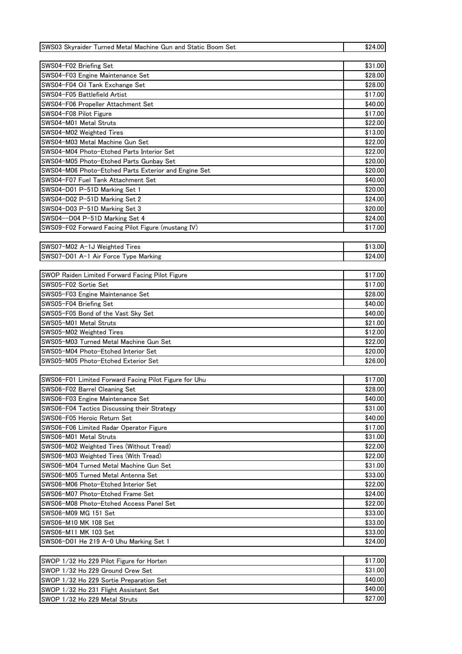| SWS03 Skyraider Turned Metal Machine Gun and Static Boom Set | \$24.00 |
|--------------------------------------------------------------|---------|
|                                                              |         |
| SWS04-F02 Briefing Set                                       | \$31.00 |
| SWS04-F03 Engine Maintenance Set                             | \$28.00 |
| SWS04-F04 Oil Tank Exchange Set                              | \$28.00 |
| SWS04-F05 Battlefield Artist                                 | \$17.00 |
| SWS04-F06 Propeller Attachment Set                           | \$40.00 |
| SWS04-F08 Pilot Figure                                       | \$17.00 |
| SWS04-M01 Metal Struts                                       | \$22.00 |
| SWS04-M02 Weighted Tires                                     | \$13.00 |
| SWS04-M03 Metal Machine Gun Set                              | \$22.00 |
| SWS04-M04 Photo-Etched Parts Interior Set                    | \$22.00 |
| SWS04–M05 Photo–Etched Parts Gunbay Set                      | \$20.00 |
| SWS04-M06 Photo-Etched Parts Exterior and Engine Set         | \$20.00 |
| SWS04-F07 Fuel Tank Attachment Set                           | \$40.00 |
|                                                              | \$20.00 |
| SWS04-D01 P-51D Marking Set 1                                |         |
| SWS04-D02 P-51D Marking Set 2                                | \$24.00 |
| SWS04-D03 P-51D Marking Set 3                                | \$20.00 |
| SWS04--D04 P-51D Marking Set 4                               | \$24.00 |
| SWS09-F02 Forward Facing Pilot Figure (mustang IV)           | \$17.00 |
|                                                              |         |
| SWS07-M02 A-1J Weighted Tires                                | \$13.00 |
| SWS07-D01 A-1 Air Force Type Marking                         | \$24.00 |
|                                                              |         |
| SWOP Raiden Limited Forward Facing Pilot Figure              | \$17.00 |
| SWS05-F02 Sortie Set                                         | \$17.00 |
| SWS05-F03 Engine Maintenance Set                             | \$28.00 |
| SWS05-F04 Briefing Set                                       | \$40.00 |
| SWS05-F05 Bond of the Vast Sky Set                           | \$40.00 |
| SWS05-M01 Metal Struts                                       | \$21.00 |
| SWS05-M02 Weighted Tires                                     | \$12.00 |
| SWS05-M03 Turned Metal Machine Gun Set                       | \$22.00 |
| SWS05-M04 Photo-Etched Interior Set                          | \$20.00 |
| SWS05-M05 Photo-Etched Exterior Set                          | \$26.00 |
|                                                              |         |
| SWS06-F01 Limited Forward Facing Pilot Figure for Uhu        | \$17.00 |
| SWS06-F02 Barrel Cleaning Set                                | \$28.00 |
| SWS06-F03 Engine Maintenance Set                             | \$40.00 |
| SWS06-F04 Tactics Discussing their Strategy                  | \$31.00 |
| SWS06-F05 Heroic Return Set                                  | \$40.00 |
| SWS06-F06 Limited Radar Operator Figure                      | \$17.00 |
| SWS06-M01 Metal Struts                                       | \$31.00 |
| SWS06-M02 Weighted Tires (Without Tread)                     | \$22.00 |
| SWS06-M03 Weighted Tires (With Tread)                        | \$22.00 |
| SWS06-M04 Turned Metal Machine Gun Set                       | \$31.00 |
| SWS06-M05 Turned Metal Antenna Set                           | \$33.00 |
| SWS06-M06 Photo-Etched Interior Set                          | \$22.00 |
| SWS06-M07 Photo-Etched Frame Set                             | \$24.00 |
| SWS06-M08 Photo-Etched Access Panel Set                      | \$22.00 |
| SWS06-M09 MG 151 Set                                         | \$33.00 |
| SWS06-M10 MK 108 Set                                         | \$33.00 |
| SWS06-M11 MK 103 Set                                         | \$33.00 |
|                                                              |         |
| SWS06-D01 He 219 A-0 Uhu Marking Set 1                       | \$24.00 |
|                                                              |         |
| SWOP 1/32 Ho 229 Pilot Figure for Horten                     | \$17.00 |
| SWOP 1/32 Ho 229 Ground Crew Set                             | \$31.00 |
| SWOP 1/32 Ho 229 Sortie Preparation Set                      | \$40.00 |
| SWOP 1/32 Ho 231 Flight Assistant Set                        | \$40.00 |
| SWOP 1/32 Ho 229 Metal Struts                                | \$27.00 |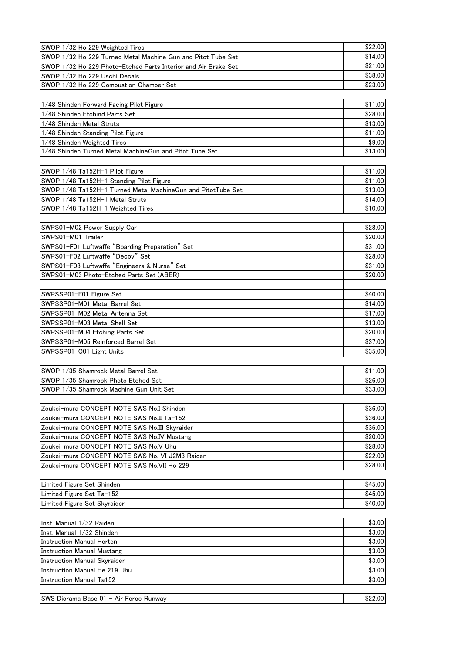| SWOP 1/32 Ho 229 Weighted Tires                                      | \$22.00            |
|----------------------------------------------------------------------|--------------------|
| SWOP 1/32 Ho 229 Turned Metal Machine Gun and Pitot Tube Set         | \$14.00            |
| SWOP 1/32 Ho 229 Photo-Etched Parts Interior and Air Brake Set       | \$21.00            |
| SWOP 1/32 Ho 229 Uschi Decals                                        | \$38.00            |
| SWOP 1/32 Ho 229 Combustion Chamber Set                              | \$23.00            |
|                                                                      |                    |
| 1/48 Shinden Forward Facing Pilot Figure                             | \$11.00            |
| 1/48 Shinden Etchind Parts Set                                       | \$28.00            |
| 1/48 Shinden Metal Struts                                            | \$13.00            |
| 1/48 Shinden Standing Pilot Figure                                   | \$11.00            |
| 1/48 Shinden Weighted Tires                                          | \$9.00             |
| 1/48 Shinden Turned Metal MachineGun and Pitot Tube Set              | \$13.00            |
|                                                                      |                    |
| SWOP 1/48 Ta152H-1 Pilot Figure                                      | \$11.00            |
| SWOP 1/48 Ta152H-1 Standing Pilot Figure                             | \$11.00            |
| SWOP 1/48 Ta152H-1 Turned Metal MachineGun and PitotTube Set         | \$13.00            |
| SWOP 1/48 Ta152H-1 Metal Struts                                      | \$14.00            |
| SWOP 1/48 Ta152H-1 Weighted Tires                                    | \$10.00            |
|                                                                      |                    |
| SWPS01-M02 Power Supply Car                                          | \$28.00            |
| SWPS01-M01 Trailer                                                   | \$20.00            |
| SWPS01-F01 Luftwaffe "Boarding Preparation" Set                      | \$31.00            |
| SWPS01-F02 Luftwaffe "Decoy" Set                                     | \$28.00            |
| SWPS01-F03 Luftwaffe "Engineers & Nurse" Set                         | \$31.00            |
| SWPS01-M03 Photo-Etched Parts Set (ABER)                             | \$20.00            |
|                                                                      |                    |
| SWPSSP01-F01 Figure Set                                              | \$40.00            |
| SWPSSP01-M01 Metal Barrel Set                                        | \$14.00            |
| SWPSSP01-M02 Metal Antenna Set                                       | \$17.00            |
| SWPSSP01-M03 Metal Shell Set                                         | \$13.00            |
| SWPSSP01-M04 Etching Parts Set<br>SWPSSP01-M05 Reinforced Barrel Set | \$20.00<br>\$37.00 |
| SWPSSP01-C01 Light Units                                             | \$35.00            |
|                                                                      |                    |
| SWOP 1/35 Shamrock Metal Barrel Set                                  | \$11.00            |
| SWOP 1/35 Shamrock Photo Etched Set                                  | \$26.00            |
| SWOP 1/35 Shamrock Machine Gun Unit Set                              | \$33.00            |
|                                                                      |                    |
| Zoukei-mura CONCEPT NOTE SWS No.I Shinden                            | \$36.00            |
| Zoukei-mura CONCEPT NOTE SWS No.II Ta-152                            | \$36.00            |
| Zoukei-mura CONCEPT NOTE SWS No.III Skyraider                        | \$36.00            |
| Zoukei-mura CONCEPT NOTE SWS No.IV Mustang                           | \$20.00            |
| Zoukei-mura CONCEPT NOTE SWS No.V Uhu                                | \$28.00            |
| Zoukei-mura CONCEPT NOTE SWS No. VI J2M3 Raiden                      | \$22.00            |
| Zoukei-mura CONCEPT NOTE SWS No.VII Ho 229                           | \$28.00            |
|                                                                      |                    |
| Limited Figure Set Shinden                                           | \$45.00            |
| Limited Figure Set Ta-152                                            | \$45.00            |
| Limited Figure Set Skyraider                                         | \$40.00            |
|                                                                      |                    |
| Inst. Manual 1/32 Raiden                                             | \$3.00             |
| Inst. Manual 1/32 Shinden                                            | \$3.00             |
| <b>Instruction Manual Horten</b>                                     | \$3.00             |
| <b>Instruction Manual Mustang</b>                                    | \$3.00             |
| Instruction Manual Skyraider                                         | \$3.00             |
| Instruction Manual He 219 Uhu                                        | \$3.00             |
| <b>Instruction Manual Ta152</b>                                      | \$3.00             |
|                                                                      |                    |
| SWS Diorama Base 01 - Air Force Runway                               | \$22.00            |